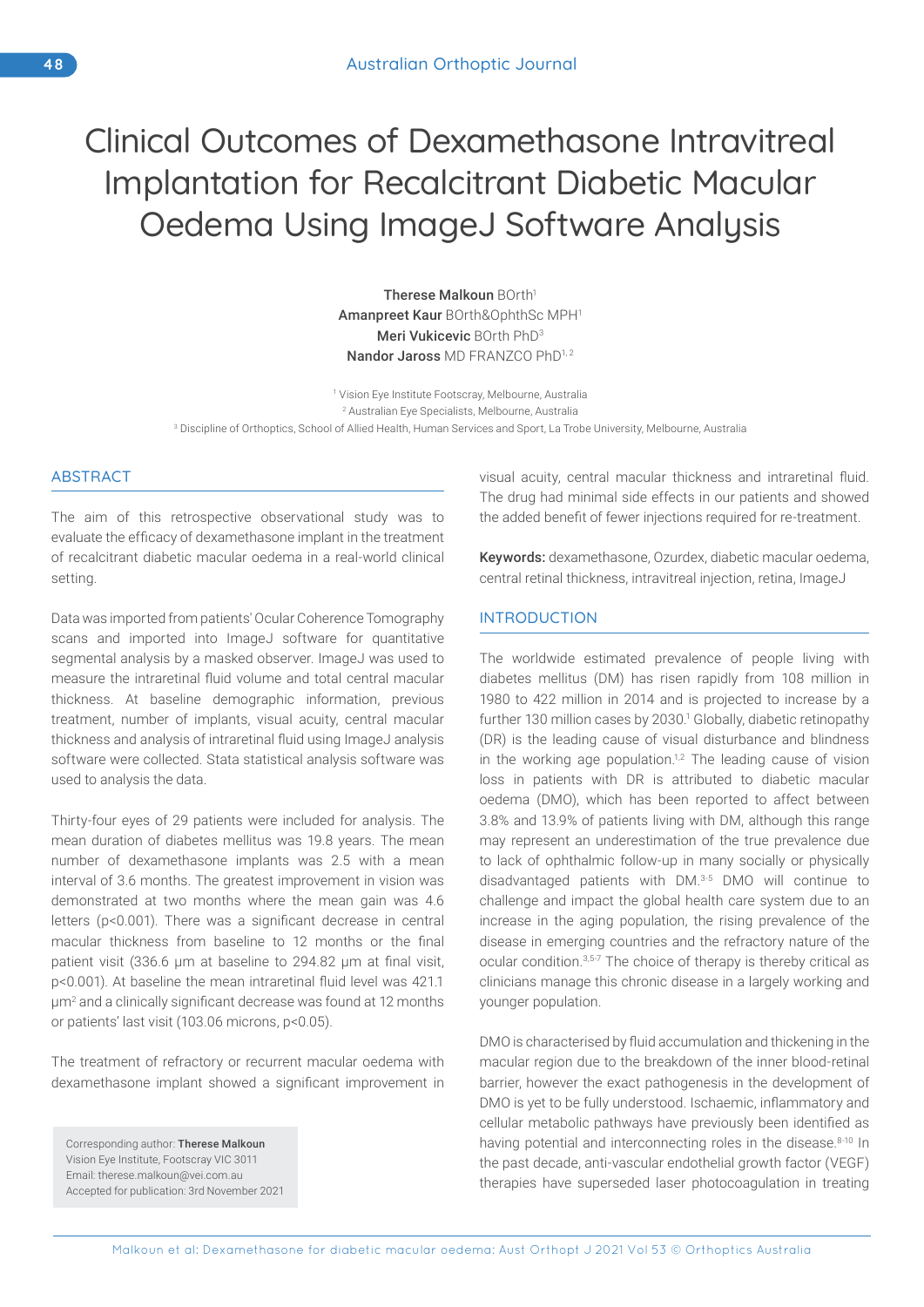# Clinical Outcomes of Dexamethasone Intravitreal Implantation for Recalcitrant Diabetic Macular Oedema Using ImageJ Software Analysis

Therese Malkoun BOrth<sup>1</sup> Amanpreet Kaur BOrth&OphthSc MPH1 Meri Vukicevic BOrth PhD3 Nandor Jaross MD FRANZCO PhD1,2

1 Vision Eye Institute Footscray, Melbourne, Australia 2 Australian Eye Specialists, Melbourne, Australia 3 Discipline of Orthoptics, School of Allied Health, Human Services and Sport, La Trobe University, Melbourne, Australia

## **ABSTRACT**

The aim of this retrospective observational study was to evaluate the efficacy of dexamethasone implant in the treatment of recalcitrant diabetic macular oedema in a real-world clinical setting.

Data was imported from patients' Ocular Coherence Tomography scans and imported into ImageJ software for quantitative segmental analysis by a masked observer. ImageJ was used to measure the intraretinal fluid volume and total central macular thickness. At baseline demographic information, previous treatment, number of implants, visual acuity, central macular thickness and analysis of intraretinal fluid using ImageJ analysis software were collected. Stata statistical analysis software was used to analysis the data.

Thirty-four eyes of 29 patients were included for analysis. The mean duration of diabetes mellitus was 19.8 years. The mean number of dexamethasone implants was 2.5 with a mean interval of 3.6 months. The greatest improvement in vision was demonstrated at two months where the mean gain was 4.6 letters (p<0.001). There was a significant decrease in central macular thickness from baseline to 12 months or the final patient visit (336.6 μm at baseline to 294.82 μm at final visit, p<0.001). At baseline the mean intraretinal fluid level was 421.1 μm<sup>2</sup> and a clinically significant decrease was found at 12 months or patients' last visit (103.06 microns, p<0.05).

The treatment of refractory or recurrent macular oedema with dexamethasone implant showed a significant improvement in

Corresponding author: Therese Malkoun Vision Eye Institute, Footscray VIC 3011 Email: therese.malkoun@vei.com.au Accepted for publication: 3rd November 2021 visual acuity, central macular thickness and intraretinal fluid. The drug had minimal side effects in our patients and showed the added benefit of fewer injections required for re-treatment.

Keywords: dexamethasone, Ozurdex, diabetic macular oedema, central retinal thickness, intravitreal injection, retina, ImageJ

# INTRODUCTION

The worldwide estimated prevalence of people living with diabetes mellitus (DM) has risen rapidly from 108 million in 1980 to 422 million in 2014 and is projected to increase by a further 130 million cases by 2030.<sup>1</sup> Globally, diabetic retinopathy (DR) is the leading cause of visual disturbance and blindness in the working age population.<sup>1,2</sup> The leading cause of vision loss in patients with DR is attributed to diabetic macular oedema (DMO), which has been reported to affect between 3.8% and 13.9% of patients living with DM, although this range may represent an underestimation of the true prevalence due to lack of ophthalmic follow-up in many socially or physically disadvantaged patients with DM.3-5 DMO will continue to challenge and impact the global health care system due to an increase in the aging population, the rising prevalence of the disease in emerging countries and the refractory nature of the ocular condition.3,5-7 The choice of therapy is thereby critical as clinicians manage this chronic disease in a largely working and younger population.

DMO is characterised by fluid accumulation and thickening in the macular region due to the breakdown of the inner blood-retinal barrier, however the exact pathogenesis in the development of DMO is yet to be fully understood. Ischaemic, inflammatory and cellular metabolic pathways have previously been identified as having potential and interconnecting roles in the disease.<sup>8-10</sup> In the past decade, anti-vascular endothelial growth factor (VEGF) therapies have superseded laser photocoagulation in treating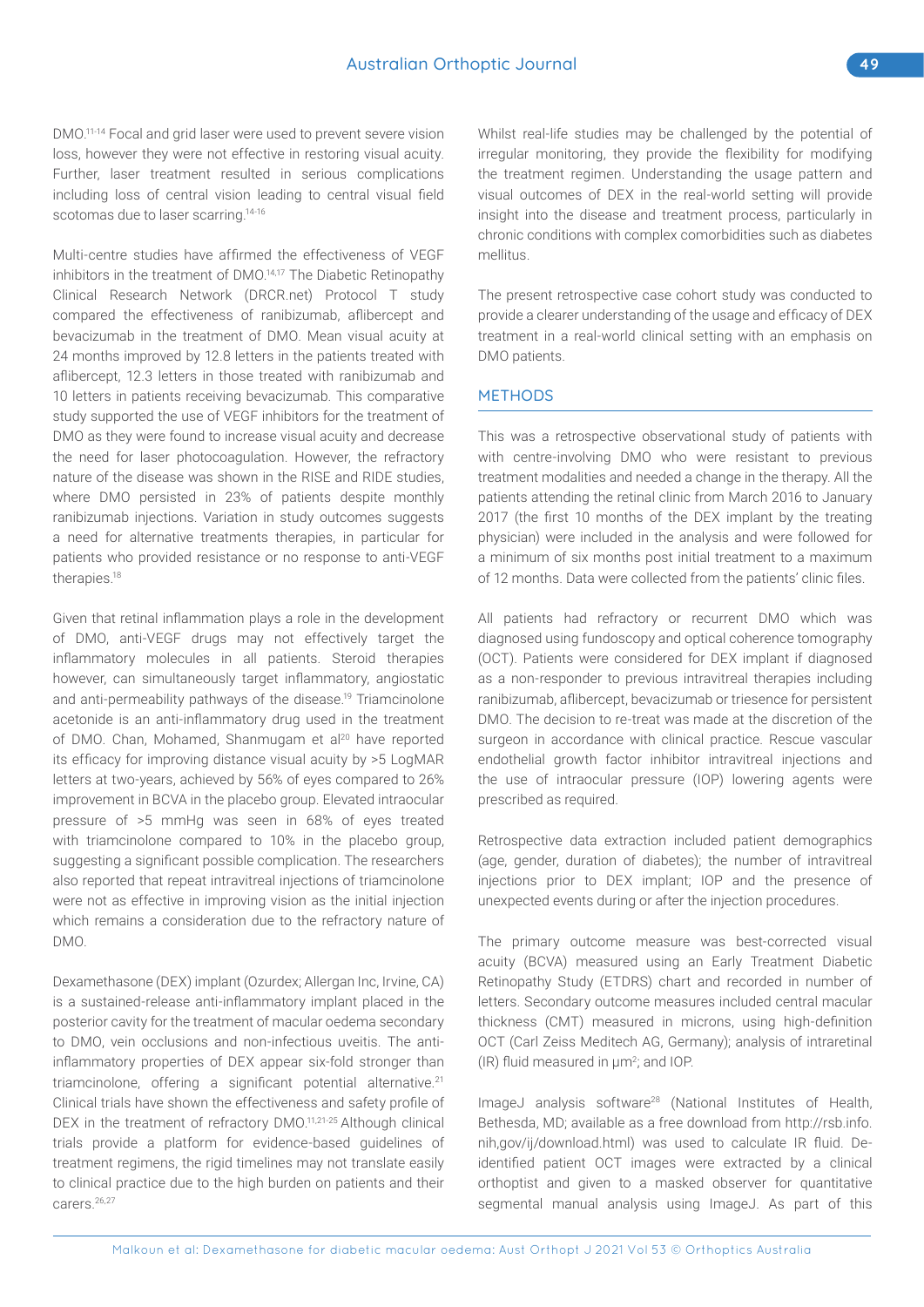DMO.11-14 Focal and grid laser were used to prevent severe vision loss, however they were not effective in restoring visual acuity. Further, laser treatment resulted in serious complications including loss of central vision leading to central visual field scotomas due to laser scarring.<sup>14-16</sup>

Multi-centre studies have affirmed the effectiveness of VEGF inhibitors in the treatment of DMO.14,17 The Diabetic Retinopathy Clinical Research Network (DRCR.net) Protocol T study compared the effectiveness of ranibizumab, aflibercept and bevacizumab in the treatment of DMO. Mean visual acuity at 24 months improved by 12.8 letters in the patients treated with aflibercept, 12.3 letters in those treated with ranibizumab and 10 letters in patients receiving bevacizumab. This comparative study supported the use of VEGF inhibitors for the treatment of DMO as they were found to increase visual acuity and decrease the need for laser photocoagulation. However, the refractory nature of the disease was shown in the RISE and RIDE studies, where DMO persisted in 23% of patients despite monthly ranibizumab injections. Variation in study outcomes suggests a need for alternative treatments therapies, in particular for patients who provided resistance or no response to anti-VEGF therapies.18

Given that retinal inflammation plays a role in the development of DMO, anti-VEGF drugs may not effectively target the inflammatory molecules in all patients. Steroid therapies however, can simultaneously target inflammatory, angiostatic and anti-permeability pathways of the disease.<sup>19</sup> Triamcinolone acetonide is an anti-inflammatory drug used in the treatment of DMO. Chan, Mohamed, Shanmugam et al<sup>20</sup> have reported its efficacy for improving distance visual acuity by >5 LogMAR letters at two-years, achieved by 56% of eyes compared to 26% improvement in BCVA in the placebo group. Elevated intraocular pressure of >5 mmHg was seen in 68% of eyes treated with triamcinolone compared to 10% in the placebo group, suggesting a significant possible complication. The researchers also reported that repeat intravitreal injections of triamcinolone were not as effective in improving vision as the initial injection which remains a consideration due to the refractory nature of DMO.

Dexamethasone (DEX) implant (Ozurdex; Allergan Inc, Irvine, CA) is a sustained-release anti-inflammatory implant placed in the posterior cavity for the treatment of macular oedema secondary to DMO, vein occlusions and non-infectious uveitis. The antiinflammatory properties of DEX appear six-fold stronger than triamcinolone, offering a significant potential alternative.<sup>21</sup> Clinical trials have shown the effectiveness and safety profile of DEX in the treatment of refractory DMO.<sup>11,21-25</sup> Although clinical trials provide a platform for evidence-based guidelines of treatment regimens, the rigid timelines may not translate easily to clinical practice due to the high burden on patients and their carers<sup>26,27</sup>

Whilst real-life studies may be challenged by the potential of irregular monitoring, they provide the flexibility for modifying the treatment regimen. Understanding the usage pattern and visual outcomes of DEX in the real-world setting will provide insight into the disease and treatment process, particularly in chronic conditions with complex comorbidities such as diabetes mellitus.

The present retrospective case cohort study was conducted to provide a clearer understanding of the usage and efficacy of DEX treatment in a real-world clinical setting with an emphasis on DMO patients.

#### **METHODS**

This was a retrospective observational study of patients with with centre-involving DMO who were resistant to previous treatment modalities and needed a change in the therapy. All the patients attending the retinal clinic from March 2016 to January 2017 (the first 10 months of the DEX implant by the treating physician) were included in the analysis and were followed for a minimum of six months post initial treatment to a maximum of 12 months. Data were collected from the patients' clinic files.

All patients had refractory or recurrent DMO which was diagnosed using fundoscopy and optical coherence tomography (OCT). Patients were considered for DEX implant if diagnosed as a non-responder to previous intravitreal therapies including ranibizumab, aflibercept, bevacizumab or triesence for persistent DMO. The decision to re-treat was made at the discretion of the surgeon in accordance with clinical practice. Rescue vascular endothelial growth factor inhibitor intravitreal injections and the use of intraocular pressure (IOP) lowering agents were prescribed as required.

Retrospective data extraction included patient demographics (age, gender, duration of diabetes); the number of intravitreal injections prior to DEX implant; IOP and the presence of unexpected events during or after the injection procedures.

The primary outcome measure was best-corrected visual acuity (BCVA) measured using an Early Treatment Diabetic Retinopathy Study (ETDRS) chart and recorded in number of letters. Secondary outcome measures included central macular thickness (CMT) measured in microns, using high-definition OCT (Carl Zeiss Meditech AG, Germany); analysis of intraretinal (IR) fluid measured in μm<sup>2</sup>; and IOP.

ImageJ analysis software<sup>28</sup> (National Institutes of Health, Bethesda, MD; available as a free download from http://rsb.info. nih,gov/ij/download.html) was used to calculate IR fluid. Deidentified patient OCT images were extracted by a clinical orthoptist and given to a masked observer for quantitative segmental manual analysis using ImageJ. As part of this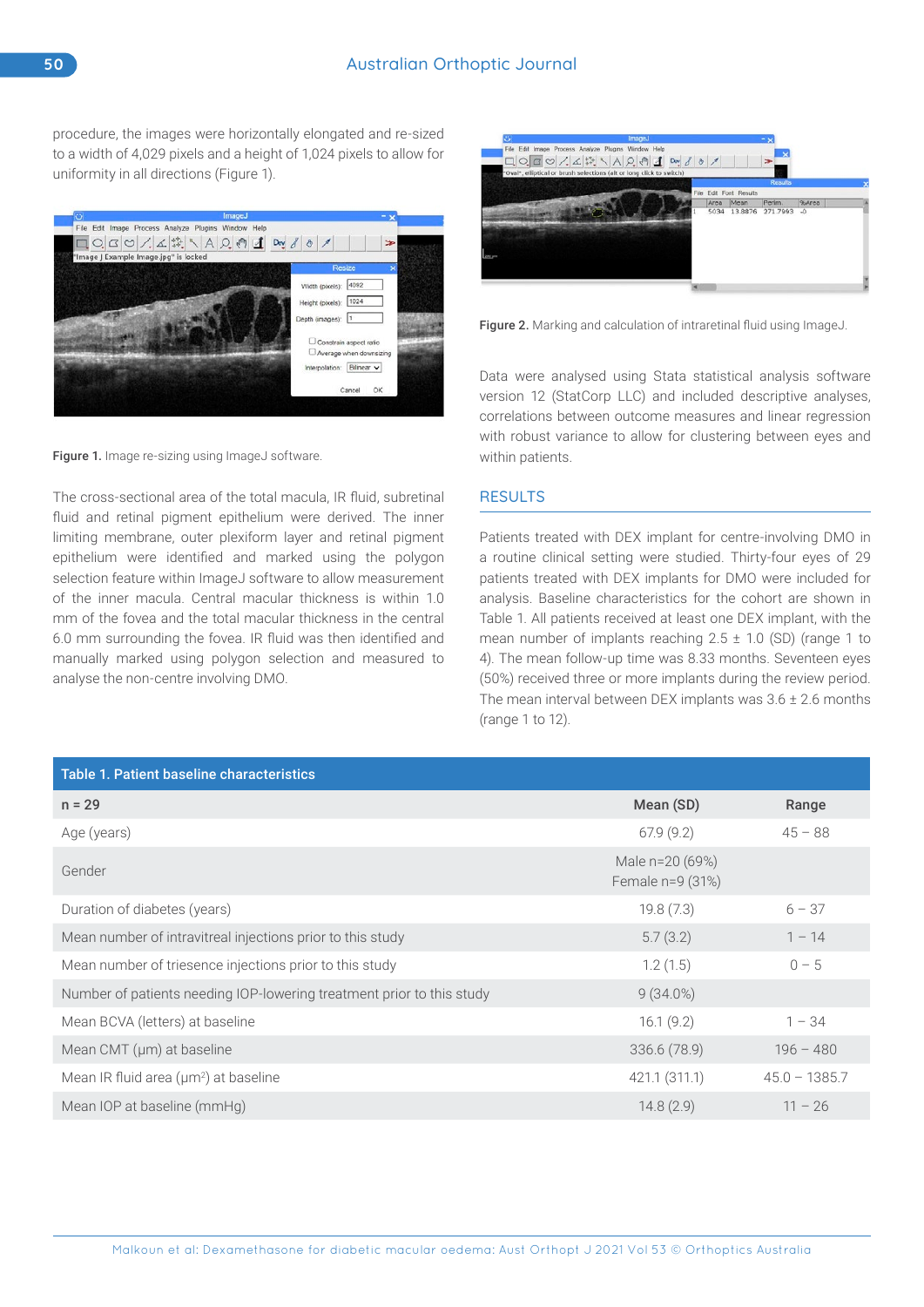procedure, the images were horizontally elongated and re-sized to a width of 4,029 pixels and a height of 1,024 pixels to allow for uniformity in all directions (Figure 1).



Figure 1. Image re-sizing using ImageJ software.

The cross-sectional area of the total macula, IR fluid, subretinal fluid and retinal pigment epithelium were derived. The inner limiting membrane, outer plexiform layer and retinal pigment epithelium were identified and marked using the polygon selection feature within ImageJ software to allow measurement of the inner macula. Central macular thickness is within 1.0 mm of the fovea and the total macular thickness in the central 6.0 mm surrounding the fovea. IR fluid was then identified and manually marked using polygon selection and measured to analyse the non-centre involving DMO.



Figure 2. Marking and calculation of intraretinal fluid using ImageJ.

Data were analysed using Stata statistical analysis software version 12 (StatCorp LLC) and included descriptive analyses, correlations between outcome measures and linear regression with robust variance to allow for clustering between eyes and within patients.

# **RESULTS**

Patients treated with DEX implant for centre-involving DMO in a routine clinical setting were studied. Thirty-four eyes of 29 patients treated with DEX implants for DMO were included for analysis. Baseline characteristics for the cohort are shown in Table 1. All patients received at least one DEX implant, with the mean number of implants reaching  $2.5 \pm 1.0$  (SD) (range 1 to 4). The mean follow-up time was 8.33 months. Seventeen eyes (50%) received three or more implants during the review period. The mean interval between DEX implants was  $3.6 \pm 2.6$  months (range 1 to 12).

| <b>Table 1. Patient baseline characteristics</b>                      |                                     |                 |  |  |  |  |  |
|-----------------------------------------------------------------------|-------------------------------------|-----------------|--|--|--|--|--|
| $n = 29$                                                              | Mean (SD)                           | Range           |  |  |  |  |  |
| Age (years)                                                           | 67.9(9.2)                           | $45 - 88$       |  |  |  |  |  |
| Gender                                                                | Male n=20 (69%)<br>Female n=9 (31%) |                 |  |  |  |  |  |
| Duration of diabetes (years)                                          | 19.8(7.3)                           | $6 - 37$        |  |  |  |  |  |
| Mean number of intravitreal injections prior to this study            | 5.7(3.2)                            | $1 - 14$        |  |  |  |  |  |
| Mean number of triesence injections prior to this study               | 1.2(1.5)                            | $0 - 5$         |  |  |  |  |  |
| Number of patients needing IOP-lowering treatment prior to this study | $9(34.0\%)$                         |                 |  |  |  |  |  |
| Mean BCVA (letters) at baseline                                       | 16.1(9.2)                           | $1 - 34$        |  |  |  |  |  |
| Mean CMT (µm) at baseline                                             | 336.6 (78.9)                        | $196 - 480$     |  |  |  |  |  |
| Mean IR fluid area (µm <sup>2</sup> ) at baseline                     | 421.1 (311.1)                       | $45.0 - 1385.7$ |  |  |  |  |  |
| Mean IOP at baseline (mmHg)                                           | 14.8(2.9)                           | $11 - 26$       |  |  |  |  |  |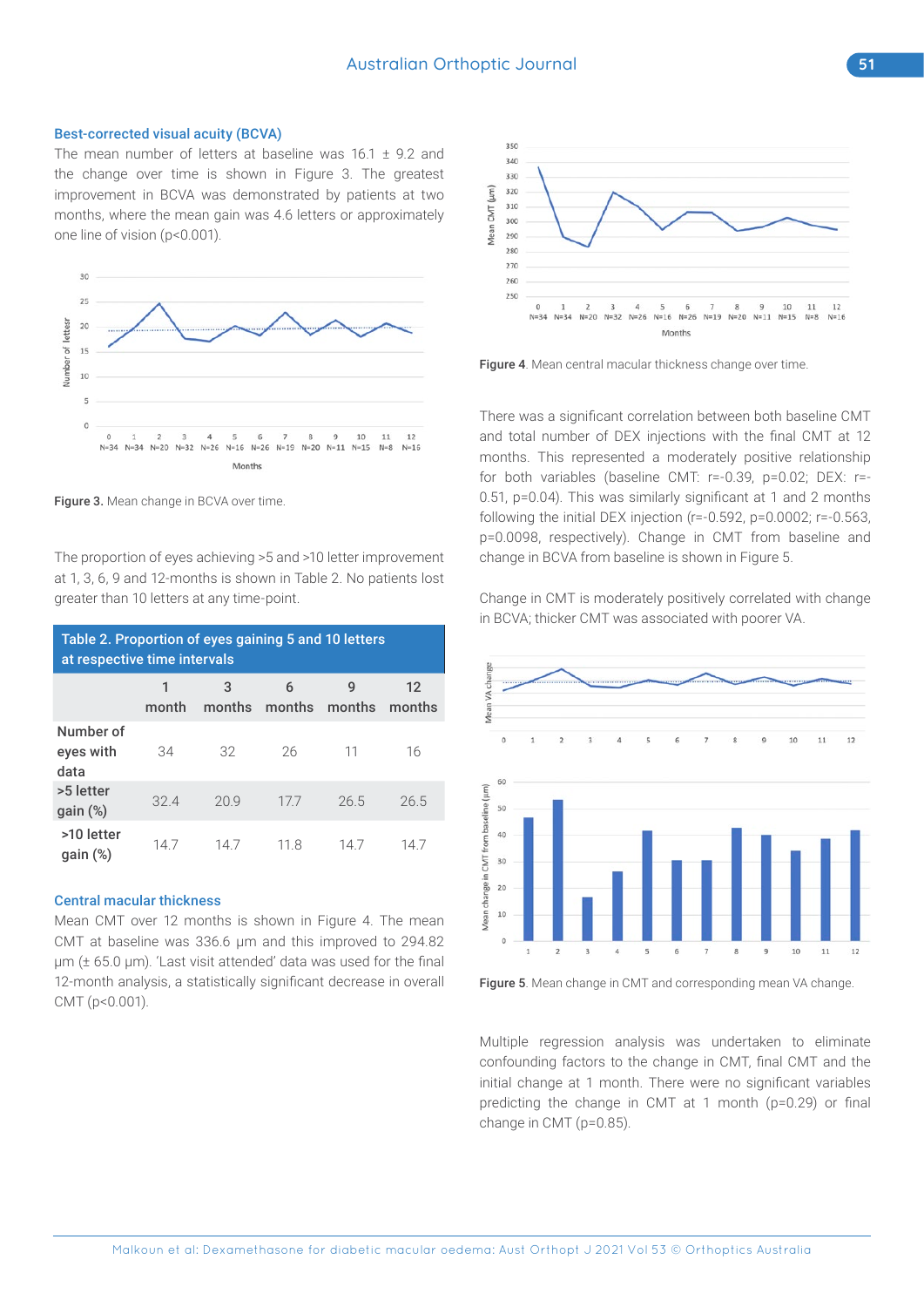#### Best-corrected visual acuity (BCVA)

The mean number of letters at baseline was  $16.1 \pm 9.2$  and the change over time is shown in Figure 3. The greatest improvement in BCVA was demonstrated by patients at two months, where the mean gain was 4.6 letters or approximately one line of vision (p<0.001).



Figure 3. Mean change in BCVA over time.

The proportion of eyes achieving >5 and >10 letter improvement at 1, 3, 6, 9 and 12-months is shown in Table 2. No patients lost greater than 10 letters at any time-point.

| Table 2. Proportion of eyes gaining 5 and 10 letters<br>at respective time intervals |       |     |                           |      |              |  |  |
|--------------------------------------------------------------------------------------|-------|-----|---------------------------|------|--------------|--|--|
|                                                                                      | month | 3   | 6<br>months months months | 9    | 12<br>months |  |  |
| Number of<br>eyes with<br>data                                                       | 34    | 32  | 26                        | 11   | 16           |  |  |
| >5 letter<br>$gain$ $%$                                                              | 324   | 209 | 177                       | 26.5 | 26.5         |  |  |
| >10 letter<br>$qain (\%)$                                                            | 147   | 147 | 11.8                      | 147  | 14 /         |  |  |

#### Central macular thickness

Mean CMT over 12 months is shown in Figure 4. The mean CMT at baseline was 336.6 µm and this improved to 294.82 µm (± 65.0 µm). 'Last visit attended' data was used for the final 12-month analysis, a statistically significant decrease in overall CMT (p<0.001).



Figure 4. Mean central macular thickness change over time.

There was a significant correlation between both baseline CMT and total number of DEX injections with the final CMT at 12 months. This represented a moderately positive relationship for both variables (baseline CMT: r=-0.39, p=0.02; DEX: r=- 0.51, p=0.04). This was similarly significant at 1 and 2 months following the initial DEX injection (r=-0.592, p=0.0002; r=-0.563, p=0.0098, respectively). Change in CMT from baseline and change in BCVA from baseline is shown in Figure 5.

Change in CMT is moderately positively correlated with change in BCVA; thicker CMT was associated with poorer VA.



Figure 5. Mean change in CMT and corresponding mean VA change.

Multiple regression analysis was undertaken to eliminate confounding factors to the change in CMT, final CMT and the initial change at 1 month. There were no significant variables predicting the change in CMT at 1 month (p=0.29) or final change in CMT (p=0.85).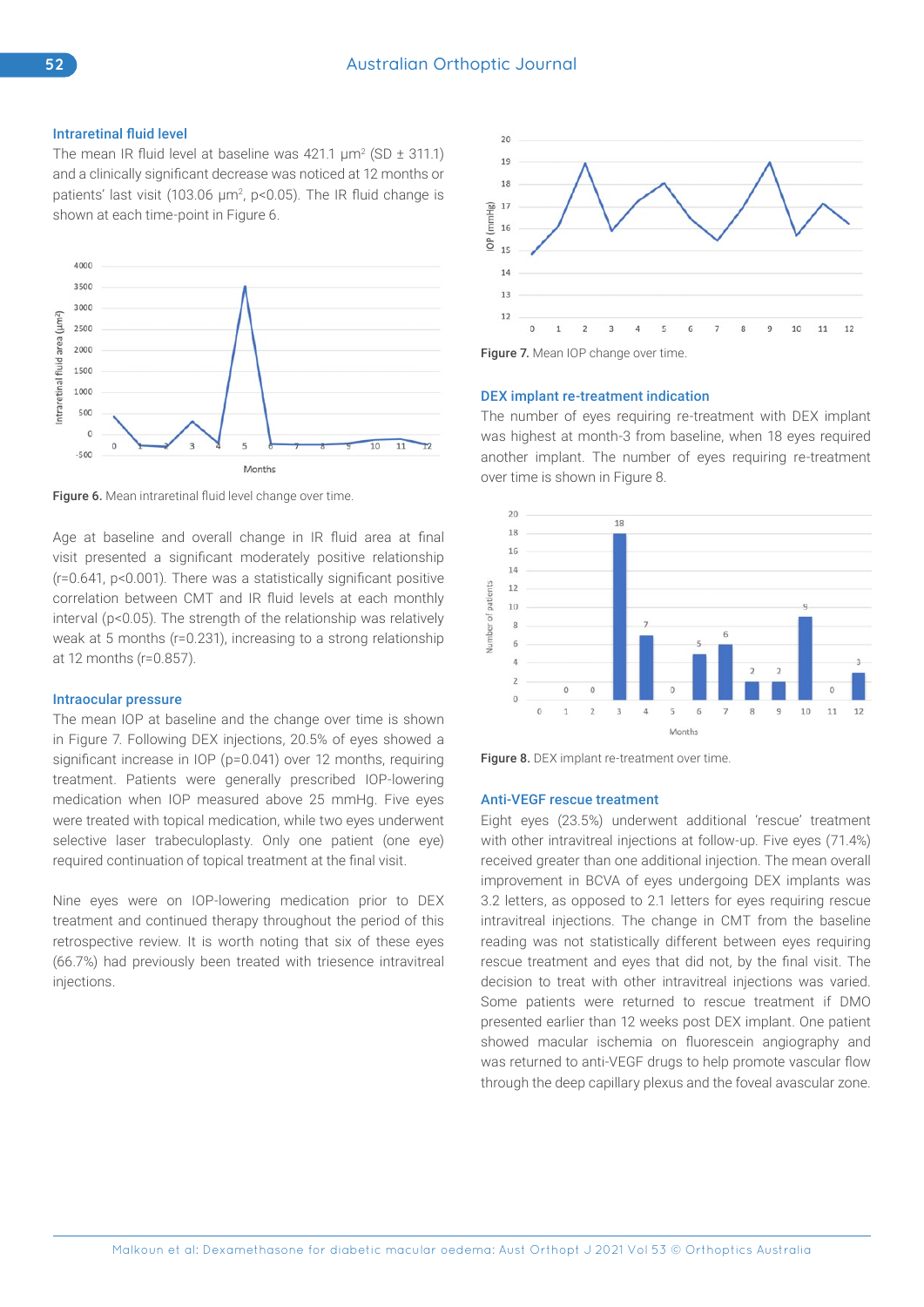## Intraretinal fluid level

The mean IR fluid level at baseline was  $421.1 \mu m^2 (SD \pm 311.1)$ and a clinically significant decrease was noticed at 12 months or patients' last visit (103.06 µm<sup>2</sup>, p<0.05). The IR fluid change is shown at each time-point in Figure 6.



Figure 6. Mean intraretinal fluid level change over time.

Age at baseline and overall change in IR fluid area at final visit presented a significant moderately positive relationship (r=0.641, p<0.001). There was a statistically significant positive correlation between CMT and IR fluid levels at each monthly interval (p<0.05). The strength of the relationship was relatively weak at 5 months (r=0.231), increasing to a strong relationship at 12 months (r=0.857).

#### Intraocular pressure

The mean IOP at baseline and the change over time is shown in Figure 7. Following DEX injections, 20.5% of eyes showed a significant increase in IOP (p=0.041) over 12 months, requiring treatment. Patients were generally prescribed IOP-lowering medication when IOP measured above 25 mmHg. Five eyes were treated with topical medication, while two eyes underwent selective laser trabeculoplasty. Only one patient (one eye) required continuation of topical treatment at the final visit.

Nine eyes were on IOP-lowering medication prior to DEX treatment and continued therapy throughout the period of this retrospective review. It is worth noting that six of these eyes (66.7%) had previously been treated with triesence intravitreal injections.



Figure 7. Mean IOP change over time.

#### DEX implant re-treatment indication

The number of eyes requiring re-treatment with DEX implant was highest at month-3 from baseline, when 18 eyes required another implant. The number of eyes requiring re-treatment over time is shown in Figure 8.





#### Anti-VEGF rescue treatment

Eight eyes (23.5%) underwent additional 'rescue' treatment with other intravitreal injections at follow-up. Five eyes (71.4%) received greater than one additional injection. The mean overall improvement in BCVA of eyes undergoing DEX implants was 3.2 letters, as opposed to 2.1 letters for eyes requiring rescue intravitreal injections. The change in CMT from the baseline reading was not statistically different between eyes requiring rescue treatment and eyes that did not, by the final visit. The decision to treat with other intravitreal injections was varied. Some patients were returned to rescue treatment if DMO presented earlier than 12 weeks post DEX implant. One patient showed macular ischemia on fluorescein angiography and was returned to anti-VEGF drugs to help promote vascular flow through the deep capillary plexus and the foveal avascular zone.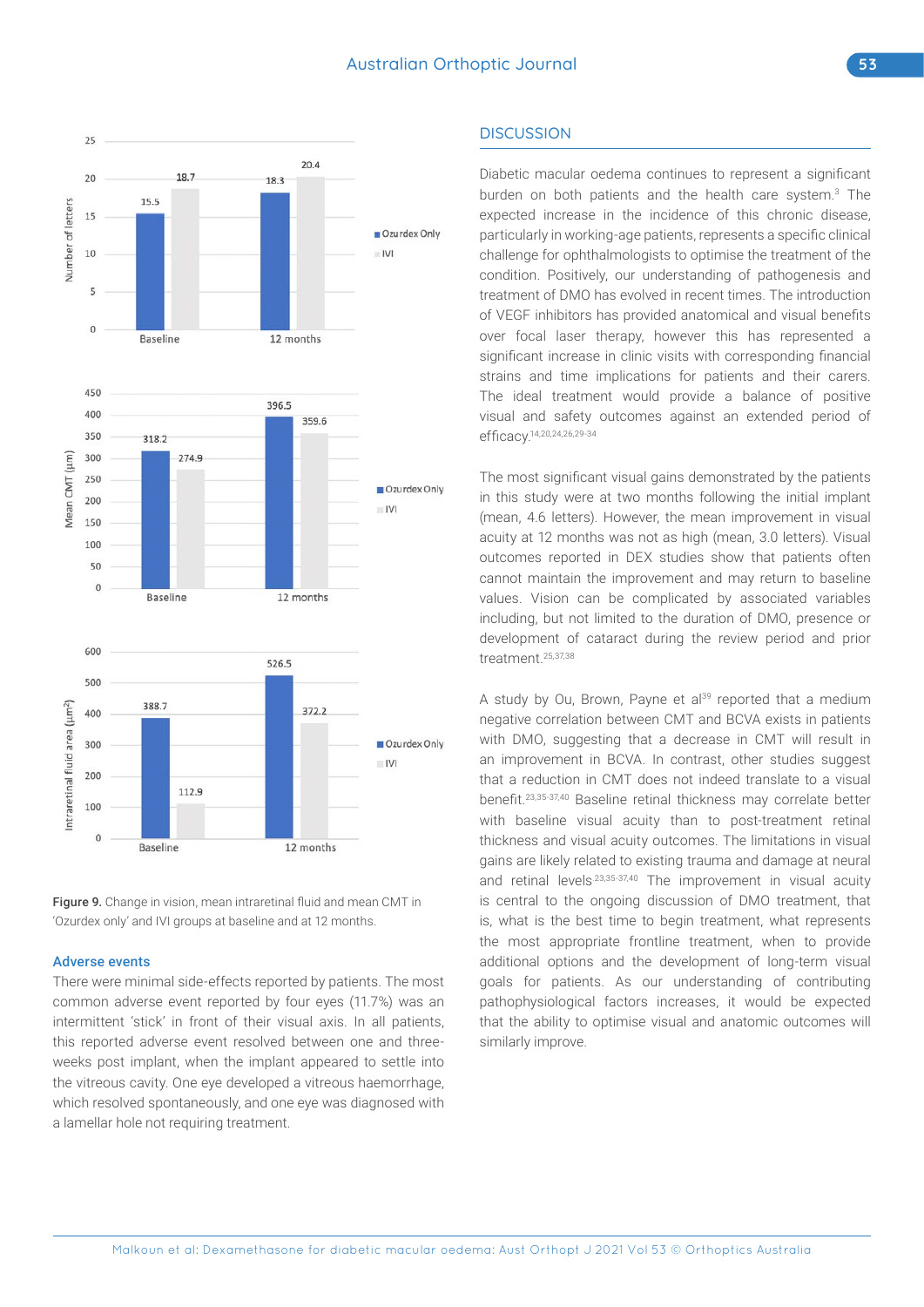

Figure 9. Change in vision, mean intraretinal fluid and mean CMT in 'Ozurdex only' and IVI groups at baseline and at 12 months.

#### Adverse events

There were minimal side-effects reported by patients. The most common adverse event reported by four eyes (11.7%) was an intermittent 'stick' in front of their visual axis. In all patients, this reported adverse event resolved between one and threeweeks post implant, when the implant appeared to settle into the vitreous cavity. One eye developed a vitreous haemorrhage, which resolved spontaneously, and one eye was diagnosed with a lamellar hole not requiring treatment.

# **DISCUSSION**

Diabetic macular oedema continues to represent a significant burden on both patients and the health care system.<sup>3</sup> The expected increase in the incidence of this chronic disease, particularly in working-age patients, represents a specific clinical challenge for ophthalmologists to optimise the treatment of the condition. Positively, our understanding of pathogenesis and treatment of DMO has evolved in recent times. The introduction of VEGF inhibitors has provided anatomical and visual benefits over focal laser therapy, however this has represented a significant increase in clinic visits with corresponding financial strains and time implications for patients and their carers. The ideal treatment would provide a balance of positive visual and safety outcomes against an extended period of efficacy.14,20,24,26,29-34

The most significant visual gains demonstrated by the patients in this study were at two months following the initial implant (mean, 4.6 letters). However, the mean improvement in visual acuity at 12 months was not as high (mean, 3.0 letters). Visual outcomes reported in DEX studies show that patients often cannot maintain the improvement and may return to baseline values. Vision can be complicated by associated variables including, but not limited to the duration of DMO, presence or development of cataract during the review period and prior treatment.25,37,38

A study by Ou, Brown, Payne et al<sup>39</sup> reported that a medium negative correlation between CMT and BCVA exists in patients with DMO, suggesting that a decrease in CMT will result in an improvement in BCVA. In contrast, other studies suggest that a reduction in CMT does not indeed translate to a visual benefit.23,35-37,40 Baseline retinal thickness may correlate better with baseline visual acuity than to post-treatment retinal thickness and visual acuity outcomes. The limitations in visual gains are likely related to existing trauma and damage at neural and retinal levels<sup>23,35-37,40</sup> The improvement in visual acuity is central to the ongoing discussion of DMO treatment, that is, what is the best time to begin treatment, what represents the most appropriate frontline treatment, when to provide additional options and the development of long-term visual goals for patients. As our understanding of contributing pathophysiological factors increases, it would be expected that the ability to optimise visual and anatomic outcomes will similarly improve.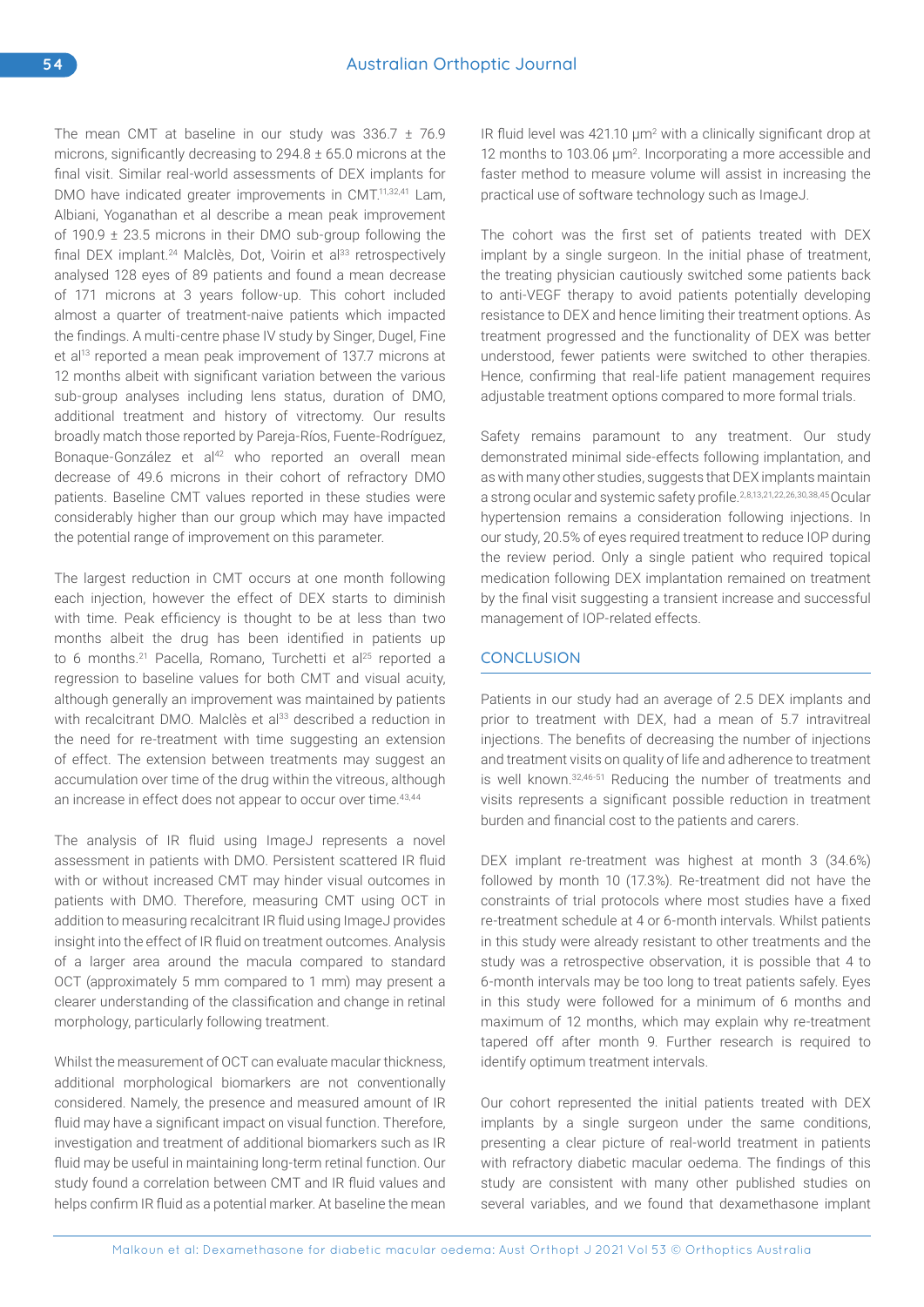The mean CMT at baseline in our study was 336.7 ± 76.9 microns, significantly decreasing to 294.8 ± 65.0 microns at the final visit. Similar real-world assessments of DEX implants for DMO have indicated greater improvements in CMT.<sup>11,32,41</sup> Lam, Albiani, Yoganathan et al describe a mean peak improvement of 190.9 ± 23.5 microns in their DMO sub-group following the final DEX implant.<sup>24</sup> Malclès, Dot, Voirin et al<sup>33</sup> retrospectively analysed 128 eyes of 89 patients and found a mean decrease of 171 microns at 3 years follow-up. This cohort included almost a quarter of treatment-naive patients which impacted the findings. A multi-centre phase IV study by Singer, Dugel, Fine et al<sup>13</sup> reported a mean peak improvement of 137.7 microns at 12 months albeit with significant variation between the various sub-group analyses including lens status, duration of DMO, additional treatment and history of vitrectomy. Our results broadly match those reported by Pareja-Ríos, Fuente-Rodríguez, Bonaque-González et al<sup>42</sup> who reported an overall mean decrease of 49.6 microns in their cohort of refractory DMO patients. Baseline CMT values reported in these studies were considerably higher than our group which may have impacted the potential range of improvement on this parameter.

The largest reduction in CMT occurs at one month following each injection, however the effect of DEX starts to diminish with time. Peak efficiency is thought to be at less than two months albeit the drug has been identified in patients up to 6 months.<sup>21</sup> Pacella, Romano, Turchetti et al<sup>25</sup> reported a regression to baseline values for both CMT and visual acuity, although generally an improvement was maintained by patients with recalcitrant DMO. Malclès et al<sup>33</sup> described a reduction in the need for re-treatment with time suggesting an extension of effect. The extension between treatments may suggest an accumulation over time of the drug within the vitreous, although an increase in effect does not appear to occur over time.<sup>43,44</sup>

The analysis of IR fluid using ImageJ represents a novel assessment in patients with DMO. Persistent scattered IR fluid with or without increased CMT may hinder visual outcomes in patients with DMO. Therefore, measuring CMT using OCT in addition to measuring recalcitrant IR fluid using ImageJ provides insight into the effect of IR fluid on treatment outcomes. Analysis of a larger area around the macula compared to standard OCT (approximately 5 mm compared to 1 mm) may present a clearer understanding of the classification and change in retinal morphology, particularly following treatment.

Whilst the measurement of OCT can evaluate macular thickness, additional morphological biomarkers are not conventionally considered. Namely, the presence and measured amount of IR fluid may have a significant impact on visual function. Therefore, investigation and treatment of additional biomarkers such as IR fluid may be useful in maintaining long-term retinal function. Our study found a correlation between CMT and IR fluid values and helps confirm IR fluid as a potential marker. At baseline the mean IR fluid level was  $421.10 \mu m^2$  with a clinically significant drop at 12 months to 103.06  $\mu$ m<sup>2</sup>. Incorporating a more accessible and faster method to measure volume will assist in increasing the practical use of software technology such as ImageJ.

The cohort was the first set of patients treated with DEX implant by a single surgeon. In the initial phase of treatment, the treating physician cautiously switched some patients back to anti-VEGF therapy to avoid patients potentially developing resistance to DEX and hence limiting their treatment options. As treatment progressed and the functionality of DEX was better understood, fewer patients were switched to other therapies. Hence, confirming that real-life patient management requires adjustable treatment options compared to more formal trials.

Safety remains paramount to any treatment. Our study demonstrated minimal side-effects following implantation, and as with many other studies, suggests that DEX implants maintain a strong ocular and systemic safety profile.2,8,13,21,22,26,30,38,45 Ocular hypertension remains a consideration following injections. In our study, 20.5% of eyes required treatment to reduce IOP during the review period. Only a single patient who required topical medication following DEX implantation remained on treatment by the final visit suggesting a transient increase and successful management of IOP-related effects.

# **CONCLUSION**

Patients in our study had an average of 2.5 DEX implants and prior to treatment with DEX, had a mean of 5.7 intravitreal injections. The benefits of decreasing the number of injections and treatment visits on quality of life and adherence to treatment is well known.32,46-51 Reducing the number of treatments and visits represents a significant possible reduction in treatment burden and financial cost to the patients and carers.

DEX implant re-treatment was highest at month 3 (34.6%) followed by month 10 (17.3%). Re-treatment did not have the constraints of trial protocols where most studies have a fixed re-treatment schedule at 4 or 6-month intervals. Whilst patients in this study were already resistant to other treatments and the study was a retrospective observation, it is possible that 4 to 6-month intervals may be too long to treat patients safely. Eyes in this study were followed for a minimum of 6 months and maximum of 12 months, which may explain why re-treatment tapered off after month 9. Further research is required to identify optimum treatment intervals.

Our cohort represented the initial patients treated with DEX implants by a single surgeon under the same conditions, presenting a clear picture of real-world treatment in patients with refractory diabetic macular oedema. The findings of this study are consistent with many other published studies on several variables, and we found that dexamethasone implant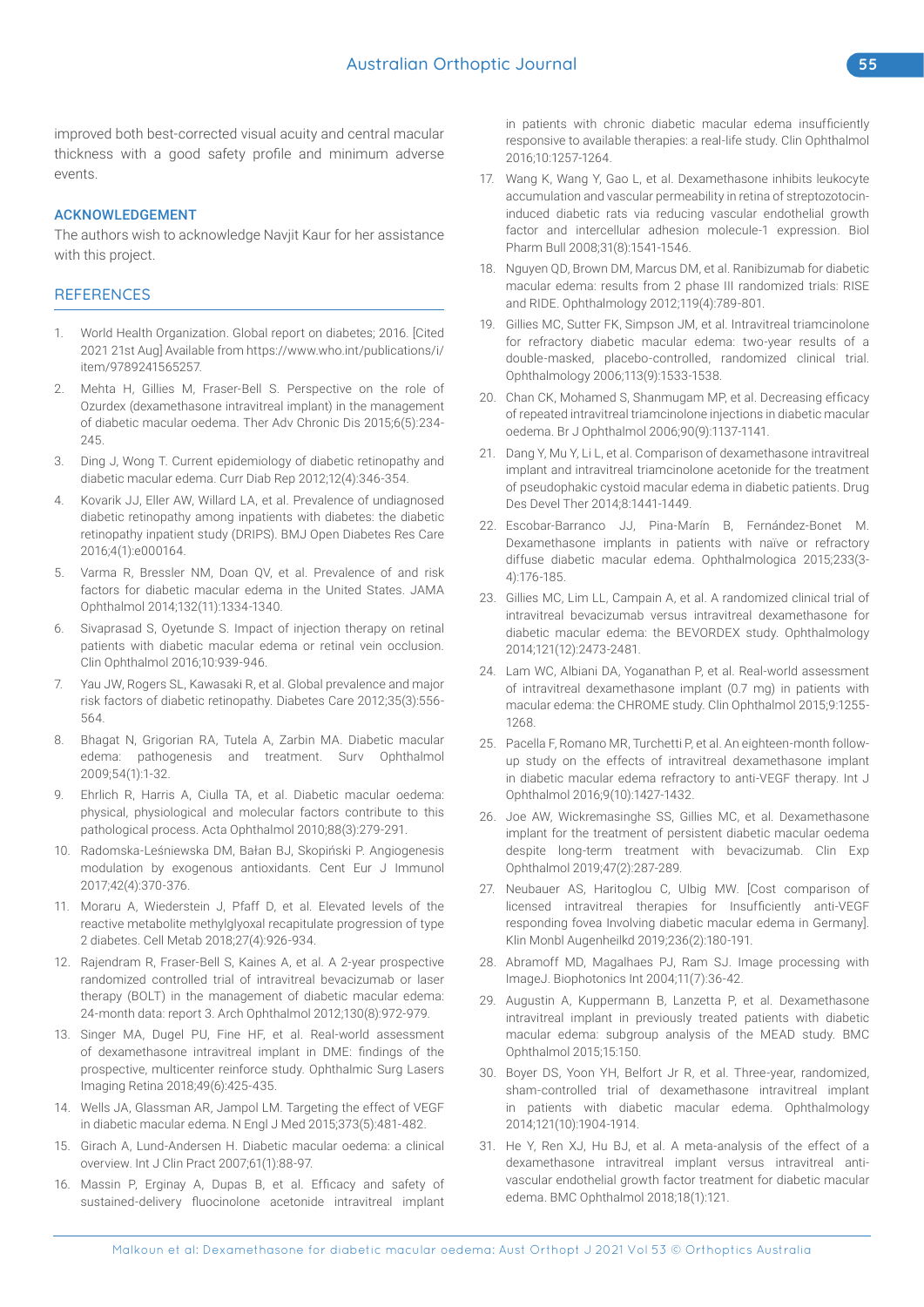improved both best-corrected visual acuity and central macular thickness with a good safety profile and minimum adverse events.

#### ACKNOWLEDGEMENT

The authors wish to acknowledge Navjit Kaur for her assistance with this project.

## **REFERENCES**

- 1. World Health Organization. Global report on diabetes; 2016. [Cited 2021 21st Aug] Available from https://www.who.int/publications/i/ item/9789241565257.
- 2. Mehta H, Gillies M, Fraser-Bell S. Perspective on the role of Ozurdex (dexamethasone intravitreal implant) in the management of diabetic macular oedema. Ther Adv Chronic Dis 2015;6(5):234- 245.
- 3. Ding J, Wong T. Current epidemiology of diabetic retinopathy and diabetic macular edema. Curr Diab Rep 2012;12(4):346-354.
- Kovarik JJ, Eller AW, Willard LA, et al. Prevalence of undiagnosed diabetic retinopathy among inpatients with diabetes: the diabetic retinopathy inpatient study (DRIPS). BMJ Open Diabetes Res Care 2016;4(1):e000164.
- 5. Varma R, Bressler NM, Doan QV, et al. Prevalence of and risk factors for diabetic macular edema in the United States. JAMA Ophthalmol 2014;132(11):1334-1340.
- 6. Sivaprasad S, Oyetunde S. Impact of injection therapy on retinal patients with diabetic macular edema or retinal vein occlusion. Clin Ophthalmol 2016;10:939-946.
- 7. Yau JW, Rogers SL, Kawasaki R, et al. Global prevalence and major risk factors of diabetic retinopathy. Diabetes Care 2012;35(3):556- 564.
- 8. Bhagat N, Grigorian RA, Tutela A, Zarbin MA. Diabetic macular edema: pathogenesis and treatment. Surv Ophthalmol 2009;54(1):1-32.
- 9. Ehrlich R, Harris A, Ciulla TA, et al. Diabetic macular oedema: physical, physiological and molecular factors contribute to this pathological process. Acta Ophthalmol 2010;88(3):279-291.
- 10. Radomska-Leśniewska DM, Bałan BJ, Skopiński P. Angiogenesis modulation by exogenous antioxidants. Cent Eur J Immunol 2017;42(4):370-376.
- 11. Moraru A, Wiederstein J, Pfaff D, et al. Elevated levels of the reactive metabolite methylglyoxal recapitulate progression of type 2 diabetes. Cell Metab 2018;27(4):926-934.
- 12. Rajendram R, Fraser-Bell S, Kaines A, et al. A 2-year prospective randomized controlled trial of intravitreal bevacizumab or laser therapy (BOLT) in the management of diabetic macular edema: 24-month data: report 3. Arch Ophthalmol 2012;130(8):972-979.
- 13. Singer MA, Dugel PU, Fine HF, et al. Real-world assessment of dexamethasone intravitreal implant in DME: findings of the prospective, multicenter reinforce study. Ophthalmic Surg Lasers Imaging Retina 2018;49(6):425-435.
- 14. Wells JA, Glassman AR, Jampol LM. Targeting the effect of VEGF in diabetic macular edema. N Engl J Med 2015;373(5):481-482.
- 15. Girach A, Lund-Andersen H. Diabetic macular oedema: a clinical overview. Int J Clin Pract 2007;61(1):88-97.
- 16. Massin P, Erginay A, Dupas B, et al. Efficacy and safety of sustained-delivery fluocinolone acetonide intravitreal implant

in patients with chronic diabetic macular edema insufficiently responsive to available therapies: a real-life study. Clin Ophthalmol 2016;10:1257-1264.

- 17. Wang K, Wang Y, Gao L, et al. Dexamethasone inhibits leukocyte accumulation and vascular permeability in retina of streptozotocininduced diabetic rats via reducing vascular endothelial growth factor and intercellular adhesion molecule-1 expression. Biol Pharm Bull 2008;31(8):1541-1546.
- 18. Nguyen QD, Brown DM, Marcus DM, et al. Ranibizumab for diabetic macular edema: results from 2 phase III randomized trials: RISE and RIDE. Ophthalmology 2012;119(4):789-801.
- 19. Gillies MC, Sutter FK, Simpson JM, et al. Intravitreal triamcinolone for refractory diabetic macular edema: two-year results of a double-masked, placebo-controlled, randomized clinical trial. Ophthalmology 2006;113(9):1533-1538.
- 20. Chan CK, Mohamed S, Shanmugam MP, et al. Decreasing efficacy of repeated intravitreal triamcinolone injections in diabetic macular oedema. Br J Ophthalmol 2006;90(9):1137-1141.
- 21. Dang Y, Mu Y, Li L, et al. Comparison of dexamethasone intravitreal implant and intravitreal triamcinolone acetonide for the treatment of pseudophakic cystoid macular edema in diabetic patients. Drug Des Devel Ther 2014;8:1441-1449.
- 22. Escobar-Barranco JJ, Pina-Marín B, Fernández-Bonet M. Dexamethasone implants in patients with naïve or refractory diffuse diabetic macular edema. Ophthalmologica 2015;233(3- 4):176-185.
- 23. Gillies MC, Lim LL, Campain A, et al. A randomized clinical trial of intravitreal bevacizumab versus intravitreal dexamethasone for diabetic macular edema: the BEVORDEX study. Ophthalmology 2014;121(12):2473-2481.
- 24. Lam WC, Albiani DA, Yoganathan P, et al. Real-world assessment of intravitreal dexamethasone implant (0.7 mg) in patients with macular edema: the CHROME study. Clin Ophthalmol 2015;9:1255- 1268.
- 25. Pacella F, Romano MR, Turchetti P, et al. An eighteen-month followup study on the effects of intravitreal dexamethasone implant in diabetic macular edema refractory to anti-VEGF therapy. Int J Ophthalmol 2016;9(10):1427-1432.
- 26. Joe AW, Wickremasinghe SS, Gillies MC, et al. Dexamethasone implant for the treatment of persistent diabetic macular oedema despite long-term treatment with bevacizumab. Clin Exp Ophthalmol 2019;47(2):287-289.
- 27. Neubauer AS, Haritoglou C, Ulbig MW. [Cost comparison of licensed intravitreal therapies for Insufficiently anti-VEGF responding fovea Involving diabetic macular edema in Germany]. Klin Monbl Augenheilkd 2019;236(2):180-191.
- 28. Abramoff MD, Magalhaes PJ, Ram SJ. Image processing with ImageJ. Biophotonics Int 2004;11(7):36-42.
- 29. Augustin A, Kuppermann B, Lanzetta P, et al. Dexamethasone intravitreal implant in previously treated patients with diabetic macular edema: subgroup analysis of the MEAD study. BMC Ophthalmol 2015;15:150.
- 30. Boyer DS, Yoon YH, Belfort Jr R, et al. Three-year, randomized, sham-controlled trial of dexamethasone intravitreal implant in patients with diabetic macular edema. Ophthalmology 2014;121(10):1904-1914.
- 31. He Y, Ren XJ, Hu BJ, et al. A meta-analysis of the effect of a dexamethasone intravitreal implant versus intravitreal antivascular endothelial growth factor treatment for diabetic macular edema. BMC Ophthalmol 2018;18(1):121.